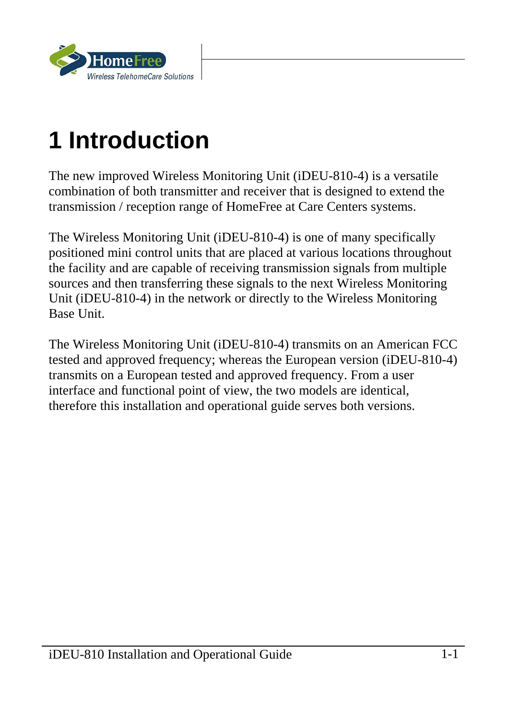

# **1 Introduction**

The new improved Wireless Monitoring Unit (iDEU-810-4) is a versatile combination of both transmitter and receiver that is designed to extend the transmission / reception range of HomeFree at Care Centers systems.

The Wireless Monitoring Unit (iDEU-810-4) is one of many specifically positioned mini control units that are placed at various locations throughout the facility and are capable of receiving transmission signals from multiple sources and then transferring these signals to the next Wireless Monitoring Unit (iDEU-810-4) in the network or directly to the Wireless Monitoring Base Unit.

The Wireless Monitoring Unit (iDEU-810-4) transmits on an American FCC tested and approved frequency; whereas the European version (iDEU-810-4) transmits on a European tested and approved frequency. From a user interface and functional point of view, the two models are identical, therefore this installation and operational guide serves both versions.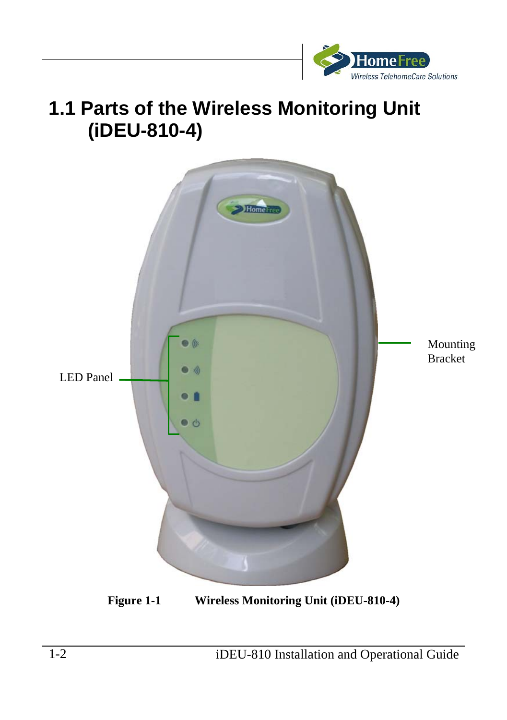

### **1.1 Parts of the Wireless Monitoring Unit (iDEU-810-4)**



**Figure 1-1 Wireless Monitoring Unit (iDEU-810-4)**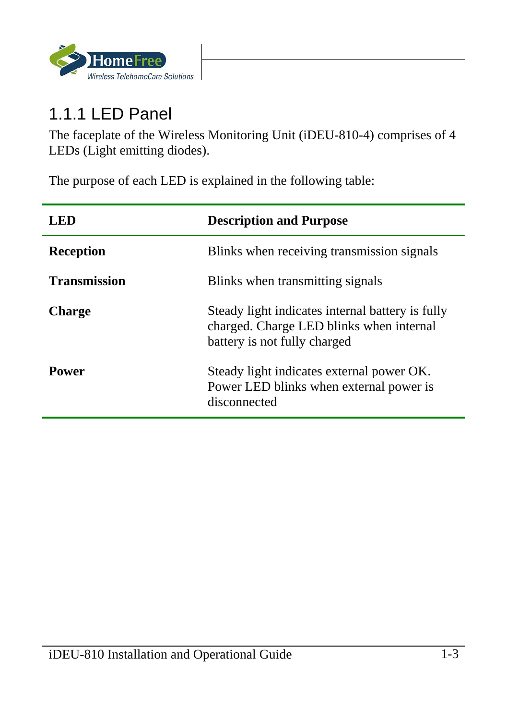

#### 1.1.1 LED Panel

ŕ

The faceplate of the Wireless Monitoring Unit (iDEU-810-4) comprises of 4 LEDs (Light emitting diodes).

The purpose of each LED is explained in the following table:

| LED.                | <b>Description and Purpose</b>                                                                                               |
|---------------------|------------------------------------------------------------------------------------------------------------------------------|
| <b>Reception</b>    | Blinks when receiving transmission signals                                                                                   |
| <b>Transmission</b> | Blinks when transmitting signals                                                                                             |
| <b>Charge</b>       | Steady light indicates internal battery is fully<br>charged. Charge LED blinks when internal<br>battery is not fully charged |
| Power               | Steady light indicates external power OK.<br>Power LED blinks when external power is<br>disconnected                         |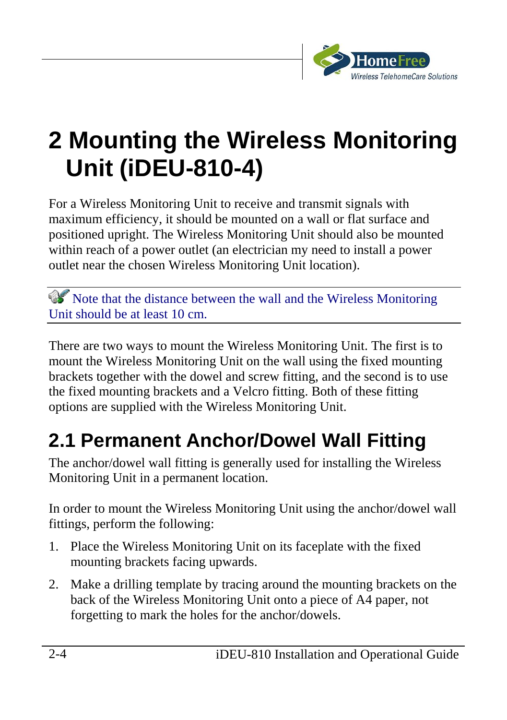

### **2 Mounting the Wireless Monitoring Unit (iDEU-810-4)**

For a Wireless Monitoring Unit to receive and transmit signals with maximum efficiency, it should be mounted on a wall or flat surface and positioned upright. The Wireless Monitoring Unit should also be mounted within reach of a power outlet (an electrician my need to install a power outlet near the chosen Wireless Monitoring Unit location).

 Note that the distance between the wall and the Wireless Monitoring Unit should be at least 10 cm.

There are two ways to mount the Wireless Monitoring Unit. The first is to mount the Wireless Monitoring Unit on the wall using the fixed mounting brackets together with the dowel and screw fitting, and the second is to use the fixed mounting brackets and a Velcro fitting. Both of these fitting options are supplied with the Wireless Monitoring Unit.

### **2.1 Permanent Anchor/Dowel Wall Fitting**

The anchor/dowel wall fitting is generally used for installing the Wireless Monitoring Unit in a permanent location.

In order to mount the Wireless Monitoring Unit using the anchor/dowel wall fittings, perform the following:

- 1. Place the Wireless Monitoring Unit on its faceplate with the fixed mounting brackets facing upwards.
- 2. Make a drilling template by tracing around the mounting brackets on the back of the Wireless Monitoring Unit onto a piece of A4 paper, not forgetting to mark the holes for the anchor/dowels.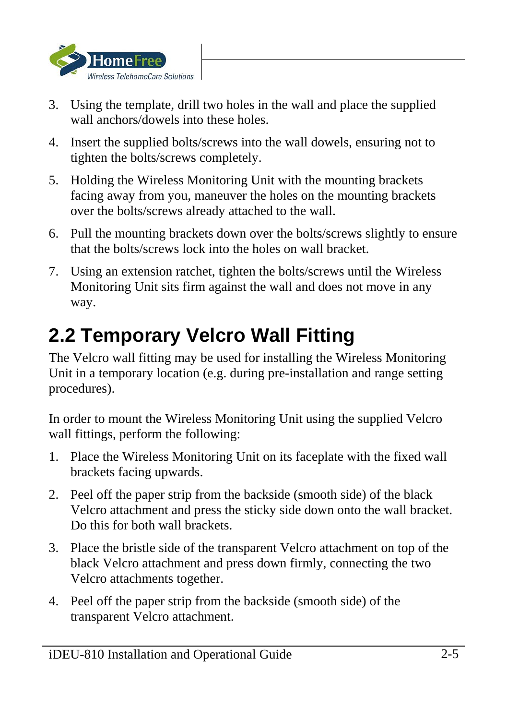

- 3. Using the template, drill two holes in the wall and place the supplied wall anchors/dowels into these holes.
- 4. Insert the supplied bolts/screws into the wall dowels, ensuring not to tighten the bolts/screws completely.
- 5. Holding the Wireless Monitoring Unit with the mounting brackets facing away from you, maneuver the holes on the mounting brackets over the bolts/screws already attached to the wall.
- 6. Pull the mounting brackets down over the bolts/screws slightly to ensure that the bolts/screws lock into the holes on wall bracket.
- 7. Using an extension ratchet, tighten the bolts/screws until the Wireless Monitoring Unit sits firm against the wall and does not move in any way.

### **2.2 Temporary Velcro Wall Fitting**

The Velcro wall fitting may be used for installing the Wireless Monitoring Unit in a temporary location (e.g. during pre-installation and range setting procedures).

In order to mount the Wireless Monitoring Unit using the supplied Velcro wall fittings, perform the following:

- 1. Place the Wireless Monitoring Unit on its faceplate with the fixed wall brackets facing upwards.
- 2. Peel off the paper strip from the backside (smooth side) of the black Velcro attachment and press the sticky side down onto the wall bracket. Do this for both wall brackets.
- 3. Place the bristle side of the transparent Velcro attachment on top of the black Velcro attachment and press down firmly, connecting the two Velcro attachments together.
- 4. Peel off the paper strip from the backside (smooth side) of the transparent Velcro attachment.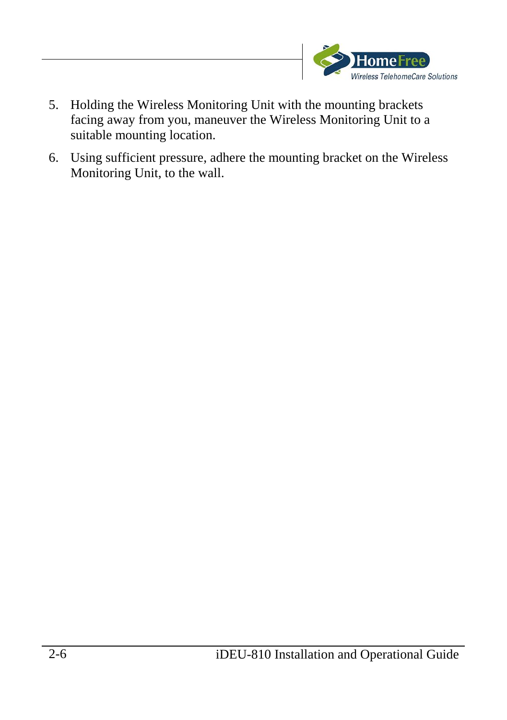

- 5. Holding the Wireless Monitoring Unit with the mounting brackets facing away from you, maneuver the Wireless Monitoring Unit to a suitable mounting location.
- 6. Using sufficient pressure, adhere the mounting bracket on the Wireless Monitoring Unit, to the wall.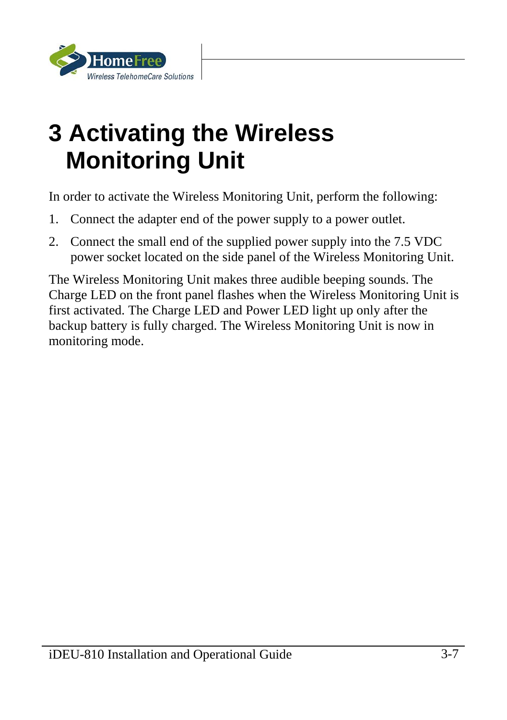

# **3 Activating the Wireless Monitoring Unit**

In order to activate the Wireless Monitoring Unit, perform the following:

- 1. Connect the adapter end of the power supply to a power outlet.
- 2. Connect the small end of the supplied power supply into the 7.5 VDC power socket located on the side panel of the Wireless Monitoring Unit.

The Wireless Monitoring Unit makes three audible beeping sounds. The Charge LED on the front panel flashes when the Wireless Monitoring Unit is first activated. The Charge LED and Power LED light up only after the backup battery is fully charged. The Wireless Monitoring Unit is now in monitoring mode.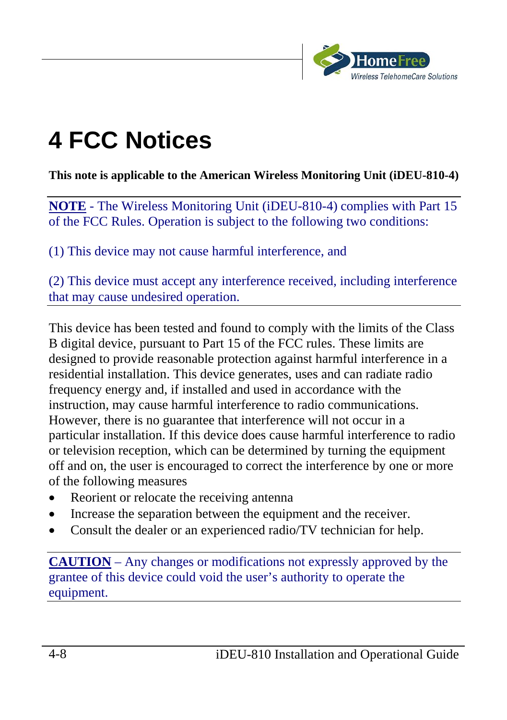

# **4 FCC Notices**

**This note is applicable to the American Wireless Monitoring Unit (iDEU-810-4)** 

**NOTE** - The Wireless Monitoring Unit (iDEU-810-4) complies with Part 15 of the FCC Rules. Operation is subject to the following two conditions:

(1) This device may not cause harmful interference, and

(2) This device must accept any interference received, including interference that may cause undesired operation.

This device has been tested and found to comply with the limits of the Class B digital device, pursuant to Part 15 of the FCC rules. These limits are designed to provide reasonable protection against harmful interference in a residential installation. This device generates, uses and can radiate radio frequency energy and, if installed and used in accordance with the instruction, may cause harmful interference to radio communications. However, there is no guarantee that interference will not occur in a particular installation. If this device does cause harmful interference to radio or television reception, which can be determined by turning the equipment off and on, the user is encouraged to correct the interference by one or more of the following measures

- Reorient or relocate the receiving antenna
- Increase the separation between the equipment and the receiver.
- Consult the dealer or an experienced radio/TV technician for help.

**CAUTION** – Any changes or modifications not expressly approved by the grantee of this device could void the user's authority to operate the equipment.